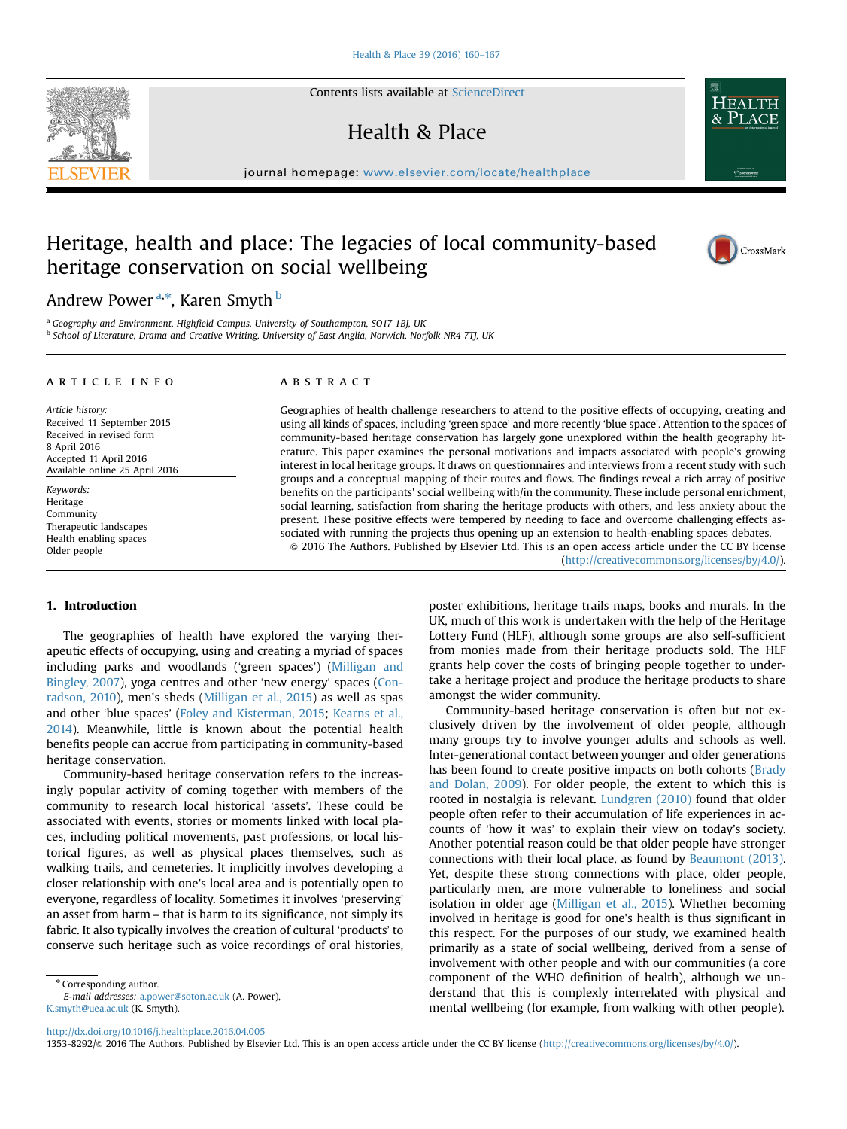Contents lists available at [ScienceDirect](www.sciencedirect.com/science/journal/13538292)

# Health & Place

journal homepage: <www.elsevier.com/locate/healthplace>/healthplace/healthplace/healthplace/healthplace/healthplace/healthplace/healthplace/healthplace/healthplace/healthplace/healthplace/healthplace/healthplace/healthplace

# Heritage, health and place: The legacies of local community-based heritage conservation on social wellbeing

Andrew Power<sup>a,\*</sup>, Karen Smyth <sup>b</sup>

<sup>a</sup> Geography and Environment, Highfield Campus, University of Southampton, SO17 1BJ, UK b School of Literature, Drama and Creative Writing, University of East Anglia, Norwich, Norfolk NR4 7TJ, UK

#### article info

Article history: Received 11 September 2015 Received in revised form 8 April 2016 Accepted 11 April 2016 Available online 25 April 2016

Keywords: Heritage Community Therapeutic landscapes Health enabling spaces Older people

# **ABSTRACT**

Geographies of health challenge researchers to attend to the positive effects of occupying, creating and using all kinds of spaces, including 'green space' and more recently 'blue space'. Attention to the spaces of community-based heritage conservation has largely gone unexplored within the health geography literature. This paper examines the personal motivations and impacts associated with people's growing interest in local heritage groups. It draws on questionnaires and interviews from a recent study with such groups and a conceptual mapping of their routes and flows. The findings reveal a rich array of positive benefits on the participants' social wellbeing with/in the community. These include personal enrichment, social learning, satisfaction from sharing the heritage products with others, and less anxiety about the present. These positive effects were tempered by needing to face and overcome challenging effects associated with running the projects thus opening up an extension to health-enabling spaces debates. & 2016 The Authors. Published by Elsevier Ltd. This is an open access article under the CC BY license

(http://creativecommons.org/licenses/by/4.0/).

### 1. Introduction

The geographies of health have explored the varying therapeutic effects of occupying, using and creating a myriad of spaces including parks and woodlands ('green spaces') [\(Milligan and](#page-7-0) [Bingley, 2007](#page-7-0)), yoga centres and other 'new energy' spaces ([Con](#page-7-0)[radson, 2010\)](#page-7-0), men's sheds [\(Milligan et al., 2015\)](#page-7-0) as well as spas and other 'blue spaces' ([Foley and Kisterman, 2015](#page-7-0); [Kearns et al.,](#page-7-0) [2014\)](#page-7-0). Meanwhile, little is known about the potential health benefits people can accrue from participating in community-based heritage conservation.

Community-based heritage conservation refers to the increasingly popular activity of coming together with members of the community to research local historical 'assets'. These could be associated with events, stories or moments linked with local places, including political movements, past professions, or local historical figures, as well as physical places themselves, such as walking trails, and cemeteries. It implicitly involves developing a closer relationship with one's local area and is potentially open to everyone, regardless of locality. Sometimes it involves 'preserving' an asset from harm – that is harm to its significance, not simply its fabric. It also typically involves the creation of cultural 'products' to conserve such heritage such as voice recordings of oral histories,

\* Corresponding author.

E-mail addresses: [a.power@soton.ac.uk](mailto:a.power@soton.ac.uk) (A. Power), [K.smyth@uea.ac.uk](mailto:K.smyth@uea.ac.uk) (K. Smyth).

poster exhibitions, heritage trails maps, books and murals. In the UK, much of this work is undertaken with the help of the Heritage Lottery Fund (HLF), although some groups are also self-sufficient from monies made from their heritage products sold. The HLF grants help cover the costs of bringing people together to undertake a heritage project and produce the heritage products to share amongst the wider community.

Community-based heritage conservation is often but not exclusively driven by the involvement of older people, although many groups try to involve younger adults and schools as well. Inter-generational contact between younger and older generations has been found to create positive impacts on both cohorts ([Brady](#page-7-0) [and Dolan, 2009\)](#page-7-0). For older people, the extent to which this is rooted in nostalgia is relevant. [Lundgren \(2010\)](#page-7-0) found that older people often refer to their accumulation of life experiences in accounts of 'how it was' to explain their view on today's society. Another potential reason could be that older people have stronger connections with their local place, as found by [Beaumont \(2013\).](#page-7-0) Yet, despite these strong connections with place, older people, particularly men, are more vulnerable to loneliness and social isolation in older age ([Milligan et al., 2015\)](#page-7-0). Whether becoming involved in heritage is good for one's health is thus significant in this respect. For the purposes of our study, we examined health primarily as a state of social wellbeing, derived from a sense of involvement with other people and with our communities (a core component of the WHO definition of health), although we understand that this is complexly interrelated with physical and mental wellbeing (for example, from walking with other people).

<http://dx.doi.org/10.1016/j.healthplace.2016.04.005>

1353-8292/& 2016 The Authors. Published by Elsevier Ltd. This is an open access article under the CC BY license (http://creativecommons.org/licenses/by/4.0/).





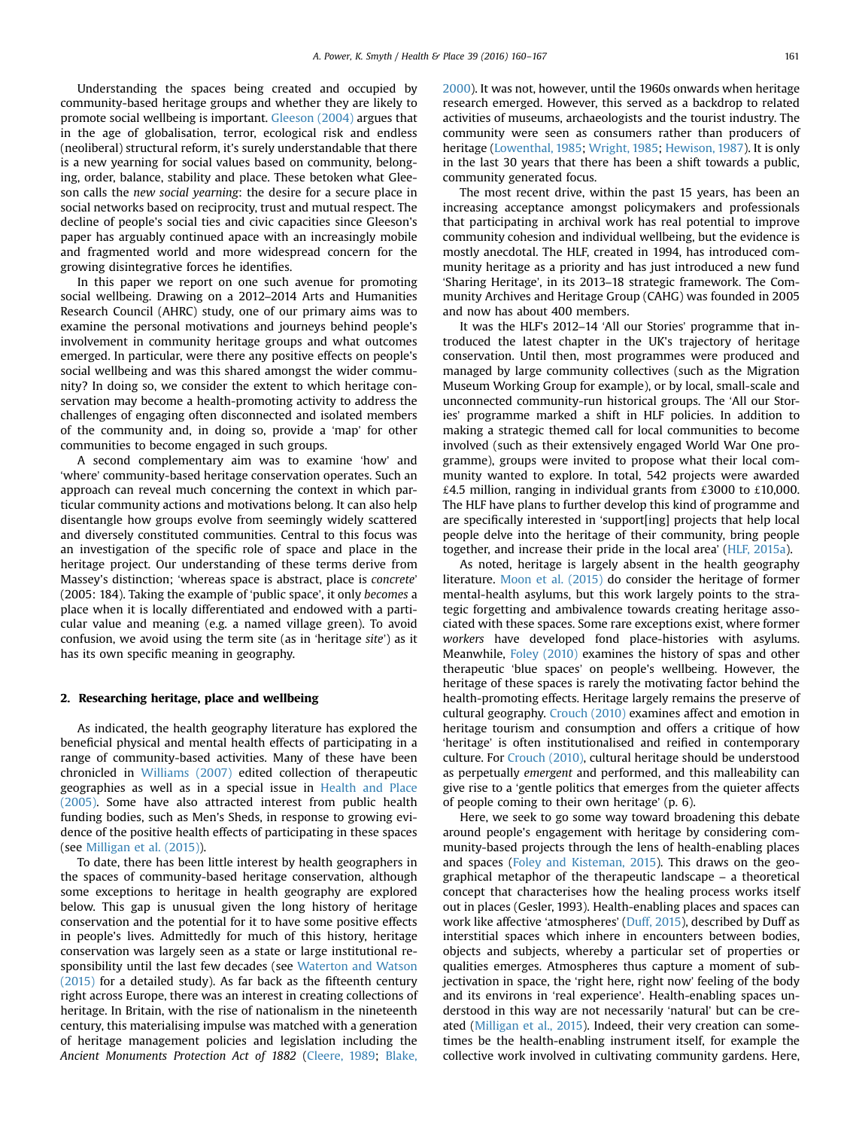Understanding the spaces being created and occupied by community-based heritage groups and whether they are likely to promote social wellbeing is important. [Gleeson \(2004\)](#page-7-0) argues that in the age of globalisation, terror, ecological risk and endless (neoliberal) structural reform, it's surely understandable that there is a new yearning for social values based on community, belonging, order, balance, stability and place. These betoken what Gleeson calls the new social yearning: the desire for a secure place in social networks based on reciprocity, trust and mutual respect. The decline of people's social ties and civic capacities since Gleeson's paper has arguably continued apace with an increasingly mobile and fragmented world and more widespread concern for the growing disintegrative forces he identifies.

In this paper we report on one such avenue for promoting social wellbeing. Drawing on a 2012–2014 Arts and Humanities Research Council (AHRC) study, one of our primary aims was to examine the personal motivations and journeys behind people's involvement in community heritage groups and what outcomes emerged. In particular, were there any positive effects on people's social wellbeing and was this shared amongst the wider community? In doing so, we consider the extent to which heritage conservation may become a health-promoting activity to address the challenges of engaging often disconnected and isolated members of the community and, in doing so, provide a 'map' for other communities to become engaged in such groups.

A second complementary aim was to examine 'how' and 'where' community-based heritage conservation operates. Such an approach can reveal much concerning the context in which particular community actions and motivations belong. It can also help disentangle how groups evolve from seemingly widely scattered and diversely constituted communities. Central to this focus was an investigation of the specific role of space and place in the heritage project. Our understanding of these terms derive from Massey's distinction; 'whereas space is abstract, place is concrete' (2005: 184). Taking the example of 'public space', it only becomes a place when it is locally differentiated and endowed with a particular value and meaning (e.g. a named village green). To avoid confusion, we avoid using the term site (as in 'heritage site') as it has its own specific meaning in geography.

#### 2. Researching heritage, place and wellbeing

As indicated, the health geography literature has explored the beneficial physical and mental health effects of participating in a range of community-based activities. Many of these have been chronicled in [Williams \(2007\)](#page-7-0) edited collection of therapeutic geographies as well as in a special issue in [Health and Place](#page-7-0) [\(2005\).](#page-7-0) Some have also attracted interest from public health funding bodies, such as Men's Sheds, in response to growing evidence of the positive health effects of participating in these spaces (see [Milligan et al. \(2015\)](#page-7-0)).

To date, there has been little interest by health geographers in the spaces of community-based heritage conservation, although some exceptions to heritage in health geography are explored below. This gap is unusual given the long history of heritage conservation and the potential for it to have some positive effects in people's lives. Admittedly for much of this history, heritage conservation was largely seen as a state or large institutional responsibility until the last few decades (see [Waterton and Watson](#page-7-0) [\(2015\)](#page-7-0) for a detailed study). As far back as the fifteenth century right across Europe, there was an interest in creating collections of heritage. In Britain, with the rise of nationalism in the nineteenth century, this materialising impulse was matched with a generation of heritage management policies and legislation including the Ancient Monuments Protection Act of 1882 [\(Cleere, 1989;](#page-7-0) [Blake,](#page-7-0) [2000](#page-7-0)). It was not, however, until the 1960s onwards when heritage research emerged. However, this served as a backdrop to related activities of museums, archaeologists and the tourist industry. The community were seen as consumers rather than producers of heritage ([Lowenthal, 1985](#page-7-0); [Wright, 1985](#page-7-0); [Hewison, 1987](#page-7-0)). It is only in the last 30 years that there has been a shift towards a public, community generated focus.

The most recent drive, within the past 15 years, has been an increasing acceptance amongst policymakers and professionals that participating in archival work has real potential to improve community cohesion and individual wellbeing, but the evidence is mostly anecdotal. The HLF, created in 1994, has introduced community heritage as a priority and has just introduced a new fund 'Sharing Heritage', in its 2013–18 strategic framework. The Community Archives and Heritage Group (CAHG) was founded in 2005 and now has about 400 members.

It was the HLF's 2012–14 'All our Stories' programme that introduced the latest chapter in the UK's trajectory of heritage conservation. Until then, most programmes were produced and managed by large community collectives (such as the Migration Museum Working Group for example), or by local, small-scale and unconnected community-run historical groups. The 'All our Stories' programme marked a shift in HLF policies. In addition to making a strategic themed call for local communities to become involved (such as their extensively engaged World War One programme), groups were invited to propose what their local community wanted to explore. In total, 542 projects were awarded £4.5 million, ranging in individual grants from £3000 to £10,000. The HLF have plans to further develop this kind of programme and are specifically interested in 'support[ing] projects that help local people delve into the heritage of their community, bring people together, and increase their pride in the local area' ([HLF, 2015a\)](#page-7-0).

As noted, heritage is largely absent in the health geography literature. [Moon et al. \(2015\)](#page-7-0) do consider the heritage of former mental-health asylums, but this work largely points to the strategic forgetting and ambivalence towards creating heritage associated with these spaces. Some rare exceptions exist, where former workers have developed fond place-histories with asylums. Meanwhile, [Foley \(2010\)](#page-7-0) examines the history of spas and other therapeutic 'blue spaces' on people's wellbeing. However, the heritage of these spaces is rarely the motivating factor behind the health-promoting effects. Heritage largely remains the preserve of cultural geography. [Crouch \(2010\)](#page-7-0) examines affect and emotion in heritage tourism and consumption and offers a critique of how 'heritage' is often institutionalised and reified in contemporary culture. For [Crouch \(2010\)](#page-7-0), cultural heritage should be understood as perpetually emergent and performed, and this malleability can give rise to a 'gentle politics that emerges from the quieter affects of people coming to their own heritage' (p. 6).

Here, we seek to go some way toward broadening this debate around people's engagement with heritage by considering community-based projects through the lens of health-enabling places and spaces ([Foley and Kisteman, 2015\)](#page-7-0). This draws on the geographical metaphor of the therapeutic landscape – a theoretical concept that characterises how the healing process works itself out in places (Gesler, 1993). Health-enabling places and spaces can work like affective 'atmospheres' ([Duff, 2015](#page-7-0)), described by Duff as interstitial spaces which inhere in encounters between bodies, objects and subjects, whereby a particular set of properties or qualities emerges. Atmospheres thus capture a moment of subjectivation in space, the 'right here, right now' feeling of the body and its environs in 'real experience'. Health-enabling spaces understood in this way are not necessarily 'natural' but can be created ([Milligan et al., 2015\)](#page-7-0). Indeed, their very creation can sometimes be the health-enabling instrument itself, for example the collective work involved in cultivating community gardens. Here,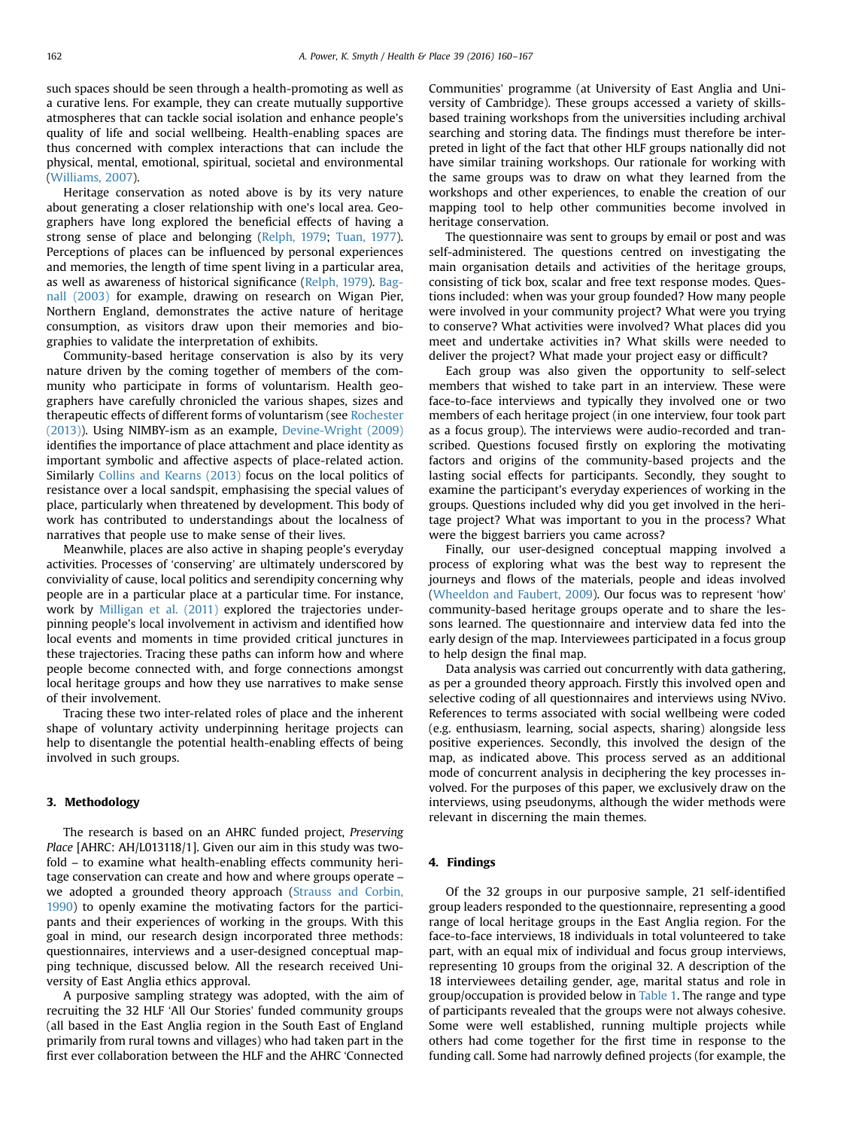such spaces should be seen through a health-promoting as well as a curative lens. For example, they can create mutually supportive atmospheres that can tackle social isolation and enhance people's quality of life and social wellbeing. Health-enabling spaces are thus concerned with complex interactions that can include the physical, mental, emotional, spiritual, societal and environmental ([Williams, 2007](#page-7-0)).

Heritage conservation as noted above is by its very nature about generating a closer relationship with one's local area. Geographers have long explored the beneficial effects of having a strong sense of place and belonging [\(Relph, 1979;](#page-7-0) [Tuan, 1977\)](#page-7-0). Perceptions of places can be influenced by personal experiences and memories, the length of time spent living in a particular area, as well as awareness of historical significance ([Relph, 1979\)](#page-7-0). [Bag](#page-7-0)[nall \(2003\)](#page-7-0) for example, drawing on research on Wigan Pier, Northern England, demonstrates the active nature of heritage consumption, as visitors draw upon their memories and biographies to validate the interpretation of exhibits.

Community-based heritage conservation is also by its very nature driven by the coming together of members of the community who participate in forms of voluntarism. Health geographers have carefully chronicled the various shapes, sizes and therapeutic effects of different forms of voluntarism (see [Rochester](#page-7-0) [\(2013\)\)](#page-7-0). Using NIMBY-ism as an example, [Devine-Wright \(2009\)](#page-7-0) identifies the importance of place attachment and place identity as important symbolic and affective aspects of place-related action. Similarly [Collins and Kearns \(2013\)](#page-7-0) focus on the local politics of resistance over a local sandspit, emphasising the special values of place, particularly when threatened by development. This body of work has contributed to understandings about the localness of narratives that people use to make sense of their lives.

Meanwhile, places are also active in shaping people's everyday activities. Processes of 'conserving' are ultimately underscored by conviviality of cause, local politics and serendipity concerning why people are in a particular place at a particular time. For instance, work by [Milligan et al. \(2011\)](#page-7-0) explored the trajectories underpinning people's local involvement in activism and identified how local events and moments in time provided critical junctures in these trajectories. Tracing these paths can inform how and where people become connected with, and forge connections amongst local heritage groups and how they use narratives to make sense of their involvement.

Tracing these two inter-related roles of place and the inherent shape of voluntary activity underpinning heritage projects can help to disentangle the potential health-enabling effects of being involved in such groups.

#### 3. Methodology

The research is based on an AHRC funded project, Preserving Place [AHRC: AH/L013118/1]. Given our aim in this study was twofold – to examine what health-enabling effects community heritage conservation can create and how and where groups operate – we adopted a grounded theory approach [\(Strauss and Corbin,](#page-7-0) [1990](#page-7-0)) to openly examine the motivating factors for the participants and their experiences of working in the groups. With this goal in mind, our research design incorporated three methods: questionnaires, interviews and a user-designed conceptual mapping technique, discussed below. All the research received University of East Anglia ethics approval.

A purposive sampling strategy was adopted, with the aim of recruiting the 32 HLF 'All Our Stories' funded community groups (all based in the East Anglia region in the South East of England primarily from rural towns and villages) who had taken part in the first ever collaboration between the HLF and the AHRC 'Connected

Communities' programme (at University of East Anglia and University of Cambridge). These groups accessed a variety of skillsbased training workshops from the universities including archival searching and storing data. The findings must therefore be interpreted in light of the fact that other HLF groups nationally did not have similar training workshops. Our rationale for working with the same groups was to draw on what they learned from the workshops and other experiences, to enable the creation of our mapping tool to help other communities become involved in heritage conservation.

The questionnaire was sent to groups by email or post and was self-administered. The questions centred on investigating the main organisation details and activities of the heritage groups, consisting of tick box, scalar and free text response modes. Questions included: when was your group founded? How many people were involved in your community project? What were you trying to conserve? What activities were involved? What places did you meet and undertake activities in? What skills were needed to deliver the project? What made your project easy or difficult?

Each group was also given the opportunity to self-select members that wished to take part in an interview. These were face-to-face interviews and typically they involved one or two members of each heritage project (in one interview, four took part as a focus group). The interviews were audio-recorded and transcribed. Questions focused firstly on exploring the motivating factors and origins of the community-based projects and the lasting social effects for participants. Secondly, they sought to examine the participant's everyday experiences of working in the groups. Questions included why did you get involved in the heritage project? What was important to you in the process? What were the biggest barriers you came across?

Finally, our user-designed conceptual mapping involved a process of exploring what was the best way to represent the journeys and flows of the materials, people and ideas involved ([Wheeldon and Faubert, 2009\)](#page-7-0). Our focus was to represent 'how' community-based heritage groups operate and to share the lessons learned. The questionnaire and interview data fed into the early design of the map. Interviewees participated in a focus group to help design the final map.

Data analysis was carried out concurrently with data gathering, as per a grounded theory approach. Firstly this involved open and selective coding of all questionnaires and interviews using NVivo. References to terms associated with social wellbeing were coded (e.g. enthusiasm, learning, social aspects, sharing) alongside less positive experiences. Secondly, this involved the design of the map, as indicated above. This process served as an additional mode of concurrent analysis in deciphering the key processes involved. For the purposes of this paper, we exclusively draw on the interviews, using pseudonyms, although the wider methods were relevant in discerning the main themes.

# 4. Findings

Of the 32 groups in our purposive sample, 21 self-identified group leaders responded to the questionnaire, representing a good range of local heritage groups in the East Anglia region. For the face-to-face interviews, 18 individuals in total volunteered to take part, with an equal mix of individual and focus group interviews, representing 10 groups from the original 32. A description of the 18 interviewees detailing gender, age, marital status and role in group/occupation is provided below in [Table 1](#page-3-0). The range and type of participants revealed that the groups were not always cohesive. Some were well established, running multiple projects while others had come together for the first time in response to the funding call. Some had narrowly defined projects (for example, the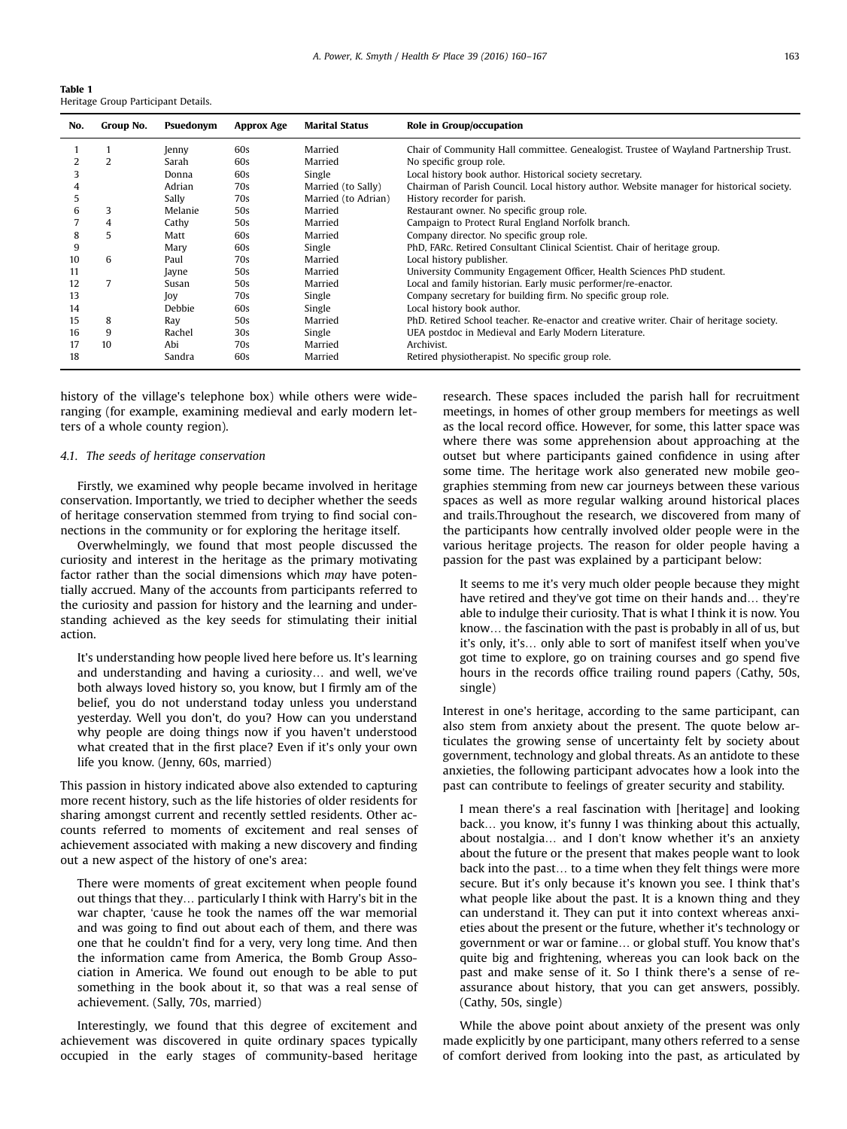<span id="page-3-0"></span>

| Table 1 |                                     |  |
|---------|-------------------------------------|--|
|         | Heritage Group Participant Details. |  |

| No. | Group No. | Psuedonym | <b>Approx Age</b> | <b>Marital Status</b> | Role in Group/occupation                                                                  |
|-----|-----------|-----------|-------------------|-----------------------|-------------------------------------------------------------------------------------------|
|     |           | Jenny     | 60s               | Married               | Chair of Community Hall committee. Genealogist. Trustee of Wayland Partnership Trust.     |
|     | 2         | Sarah     | 60s               | Married               | No specific group role.                                                                   |
| 3   |           | Donna     | 60s               | Single                | Local history book author. Historical society secretary.                                  |
|     |           | Adrian    | 70s               | Married (to Sally)    | Chairman of Parish Council. Local history author. Website manager for historical society. |
|     |           | Sally     | 70s               | Married (to Adrian)   | History recorder for parish.                                                              |
| b   | 3         | Melanie   | 50s               | Married               | Restaurant owner. No specific group role.                                                 |
|     | 4         | Cathy     | 50s               | Married               | Campaign to Protect Rural England Norfolk branch.                                         |
| 8   | 5         | Matt      | 60s               | Married               | Company director. No specific group role.                                                 |
| 9   |           | Mary      | 60s               | Single                | PhD, FARc. Retired Consultant Clinical Scientist. Chair of heritage group.                |
| 10  | 6         | Paul      | 70s               | Married               | Local history publisher.                                                                  |
| 11  |           | Jayne     | 50s               | Married               | University Community Engagement Officer, Health Sciences PhD student.                     |
| 12  | 7         | Susan     | 50s               | Married               | Local and family historian. Early music performer/re-enactor.                             |
| 13  |           | Joy       | 70s               | Single                | Company secretary for building firm. No specific group role.                              |
| 14  |           | Debbie    | 60s               | Single                | Local history book author.                                                                |
| 15  | 8         | Ray       | 50s               | Married               | PhD. Retired School teacher. Re-enactor and creative writer. Chair of heritage society.   |
| 16  | 9         | Rachel    | 30s               | Single                | UEA postdoc in Medieval and Early Modern Literature.                                      |
| 17  | 10        | Abi       | 70s               | Married               | Archivist.                                                                                |
| 18  |           | Sandra    | 60s               | Married               | Retired physiotherapist. No specific group role.                                          |

history of the village's telephone box) while others were wideranging (for example, examining medieval and early modern letters of a whole county region).

### 4.1. The seeds of heritage conservation

Firstly, we examined why people became involved in heritage conservation. Importantly, we tried to decipher whether the seeds of heritage conservation stemmed from trying to find social connections in the community or for exploring the heritage itself.

Overwhelmingly, we found that most people discussed the curiosity and interest in the heritage as the primary motivating factor rather than the social dimensions which may have potentially accrued. Many of the accounts from participants referred to the curiosity and passion for history and the learning and understanding achieved as the key seeds for stimulating their initial action.

It's understanding how people lived here before us. It's learning and understanding and having a curiosity… and well, we've both always loved history so, you know, but I firmly am of the belief, you do not understand today unless you understand yesterday. Well you don't, do you? How can you understand why people are doing things now if you haven't understood what created that in the first place? Even if it's only your own life you know. (Jenny, 60s, married)

This passion in history indicated above also extended to capturing more recent history, such as the life histories of older residents for sharing amongst current and recently settled residents. Other accounts referred to moments of excitement and real senses of achievement associated with making a new discovery and finding out a new aspect of the history of one's area:

There were moments of great excitement when people found out things that they… particularly I think with Harry's bit in the war chapter, 'cause he took the names off the war memorial and was going to find out about each of them, and there was one that he couldn't find for a very, very long time. And then the information came from America, the Bomb Group Association in America. We found out enough to be able to put something in the book about it, so that was a real sense of achievement. (Sally, 70s, married)

Interestingly, we found that this degree of excitement and achievement was discovered in quite ordinary spaces typically occupied in the early stages of community-based heritage research. These spaces included the parish hall for recruitment meetings, in homes of other group members for meetings as well as the local record office. However, for some, this latter space was where there was some apprehension about approaching at the outset but where participants gained confidence in using after some time. The heritage work also generated new mobile geographies stemming from new car journeys between these various spaces as well as more regular walking around historical places and trails.Throughout the research, we discovered from many of the participants how centrally involved older people were in the various heritage projects. The reason for older people having a passion for the past was explained by a participant below:

It seems to me it's very much older people because they might have retired and they've got time on their hands and… they're able to indulge their curiosity. That is what I think it is now. You know… the fascination with the past is probably in all of us, but it's only, it's… only able to sort of manifest itself when you've got time to explore, go on training courses and go spend five hours in the records office trailing round papers (Cathy, 50s, single)

Interest in one's heritage, according to the same participant, can also stem from anxiety about the present. The quote below articulates the growing sense of uncertainty felt by society about government, technology and global threats. As an antidote to these anxieties, the following participant advocates how a look into the past can contribute to feelings of greater security and stability.

I mean there's a real fascination with [heritage] and looking back… you know, it's funny I was thinking about this actually, about nostalgia… and I don't know whether it's an anxiety about the future or the present that makes people want to look back into the past… to a time when they felt things were more secure. But it's only because it's known you see. I think that's what people like about the past. It is a known thing and they can understand it. They can put it into context whereas anxieties about the present or the future, whether it's technology or government or war or famine… or global stuff. You know that's quite big and frightening, whereas you can look back on the past and make sense of it. So I think there's a sense of reassurance about history, that you can get answers, possibly. (Cathy, 50s, single)

While the above point about anxiety of the present was only made explicitly by one participant, many others referred to a sense of comfort derived from looking into the past, as articulated by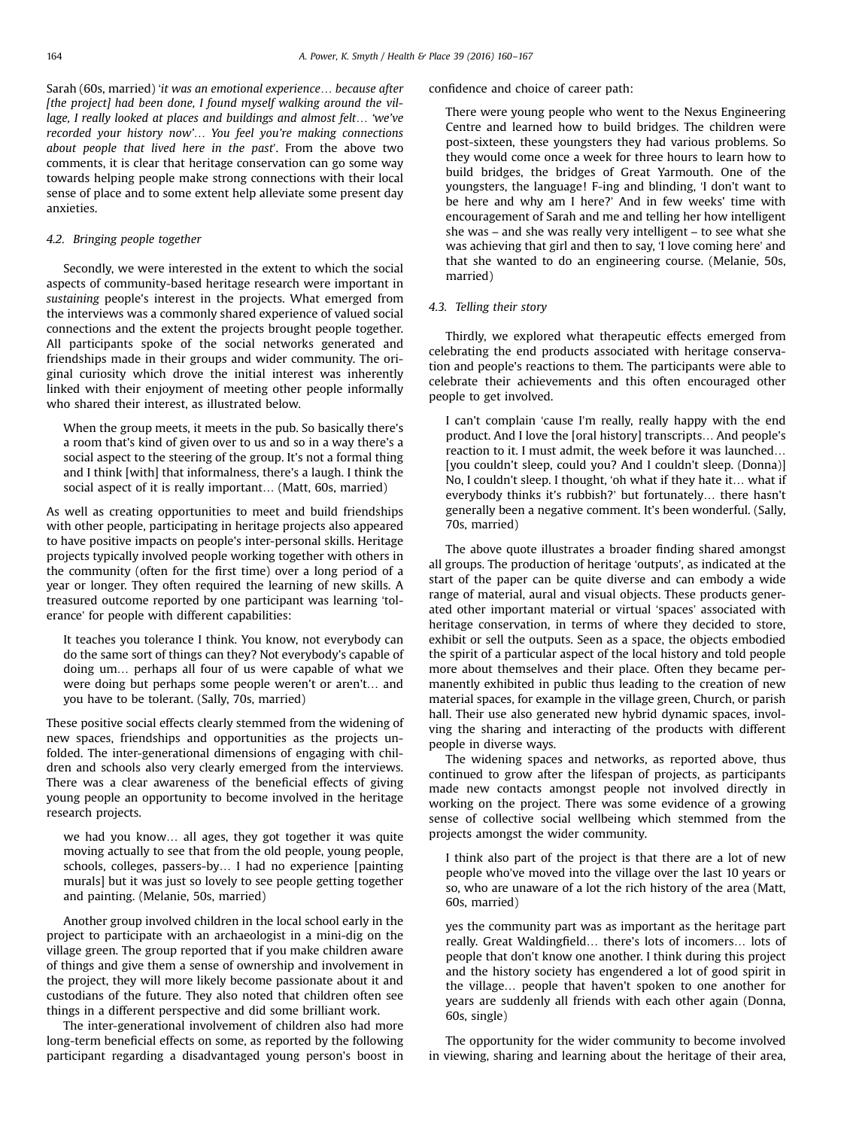Sarah (60s, married) 'it was an emotional experience… because after [the project] had been done, I found myself walking around the village, I really looked at places and buildings and almost felt… 'we've recorded your history now'… You feel you're making connections about people that lived here in the past'. From the above two comments, it is clear that heritage conservation can go some way towards helping people make strong connections with their local sense of place and to some extent help alleviate some present day anxieties.

## 4.2. Bringing people together

Secondly, we were interested in the extent to which the social aspects of community-based heritage research were important in sustaining people's interest in the projects. What emerged from the interviews was a commonly shared experience of valued social connections and the extent the projects brought people together. All participants spoke of the social networks generated and friendships made in their groups and wider community. The original curiosity which drove the initial interest was inherently linked with their enjoyment of meeting other people informally who shared their interest, as illustrated below.

When the group meets, it meets in the pub. So basically there's a room that's kind of given over to us and so in a way there's a social aspect to the steering of the group. It's not a formal thing and I think [with] that informalness, there's a laugh. I think the social aspect of it is really important… (Matt, 60s, married)

As well as creating opportunities to meet and build friendships with other people, participating in heritage projects also appeared to have positive impacts on people's inter-personal skills. Heritage projects typically involved people working together with others in the community (often for the first time) over a long period of a year or longer. They often required the learning of new skills. A treasured outcome reported by one participant was learning 'tolerance' for people with different capabilities:

It teaches you tolerance I think. You know, not everybody can do the same sort of things can they? Not everybody's capable of doing um… perhaps all four of us were capable of what we were doing but perhaps some people weren't or aren't… and you have to be tolerant. (Sally, 70s, married)

These positive social effects clearly stemmed from the widening of new spaces, friendships and opportunities as the projects unfolded. The inter-generational dimensions of engaging with children and schools also very clearly emerged from the interviews. There was a clear awareness of the beneficial effects of giving young people an opportunity to become involved in the heritage research projects.

we had you know… all ages, they got together it was quite moving actually to see that from the old people, young people, schools, colleges, passers-by… I had no experience [painting murals] but it was just so lovely to see people getting together and painting. (Melanie, 50s, married)

Another group involved children in the local school early in the project to participate with an archaeologist in a mini-dig on the village green. The group reported that if you make children aware of things and give them a sense of ownership and involvement in the project, they will more likely become passionate about it and custodians of the future. They also noted that children often see things in a different perspective and did some brilliant work.

The inter-generational involvement of children also had more long-term beneficial effects on some, as reported by the following participant regarding a disadvantaged young person's boost in confidence and choice of career path:

There were young people who went to the Nexus Engineering Centre and learned how to build bridges. The children were post-sixteen, these youngsters they had various problems. So they would come once a week for three hours to learn how to build bridges, the bridges of Great Yarmouth. One of the youngsters, the language! F-ing and blinding, 'I don't want to be here and why am I here?' And in few weeks' time with encouragement of Sarah and me and telling her how intelligent she was – and she was really very intelligent – to see what she was achieving that girl and then to say, 'I love coming here' and that she wanted to do an engineering course. (Melanie, 50s, married)

#### 4.3. Telling their story

Thirdly, we explored what therapeutic effects emerged from celebrating the end products associated with heritage conservation and people's reactions to them. The participants were able to celebrate their achievements and this often encouraged other people to get involved.

I can't complain 'cause I'm really, really happy with the end product. And I love the [oral history] transcripts… And people's reaction to it. I must admit, the week before it was launched… [you couldn't sleep, could you? And I couldn't sleep. (Donna)] No, I couldn't sleep. I thought, 'oh what if they hate it… what if everybody thinks it's rubbish?' but fortunately… there hasn't generally been a negative comment. It's been wonderful. (Sally, 70s, married)

The above quote illustrates a broader finding shared amongst all groups. The production of heritage 'outputs', as indicated at the start of the paper can be quite diverse and can embody a wide range of material, aural and visual objects. These products generated other important material or virtual 'spaces' associated with heritage conservation, in terms of where they decided to store, exhibit or sell the outputs. Seen as a space, the objects embodied the spirit of a particular aspect of the local history and told people more about themselves and their place. Often they became permanently exhibited in public thus leading to the creation of new material spaces, for example in the village green, Church, or parish hall. Their use also generated new hybrid dynamic spaces, involving the sharing and interacting of the products with different people in diverse ways.

The widening spaces and networks, as reported above, thus continued to grow after the lifespan of projects, as participants made new contacts amongst people not involved directly in working on the project. There was some evidence of a growing sense of collective social wellbeing which stemmed from the projects amongst the wider community.

I think also part of the project is that there are a lot of new people who've moved into the village over the last 10 years or so, who are unaware of a lot the rich history of the area (Matt, 60s, married)

yes the community part was as important as the heritage part really. Great Waldingfield… there's lots of incomers… lots of people that don't know one another. I think during this project and the history society has engendered a lot of good spirit in the village… people that haven't spoken to one another for years are suddenly all friends with each other again (Donna, 60s, single)

The opportunity for the wider community to become involved in viewing, sharing and learning about the heritage of their area,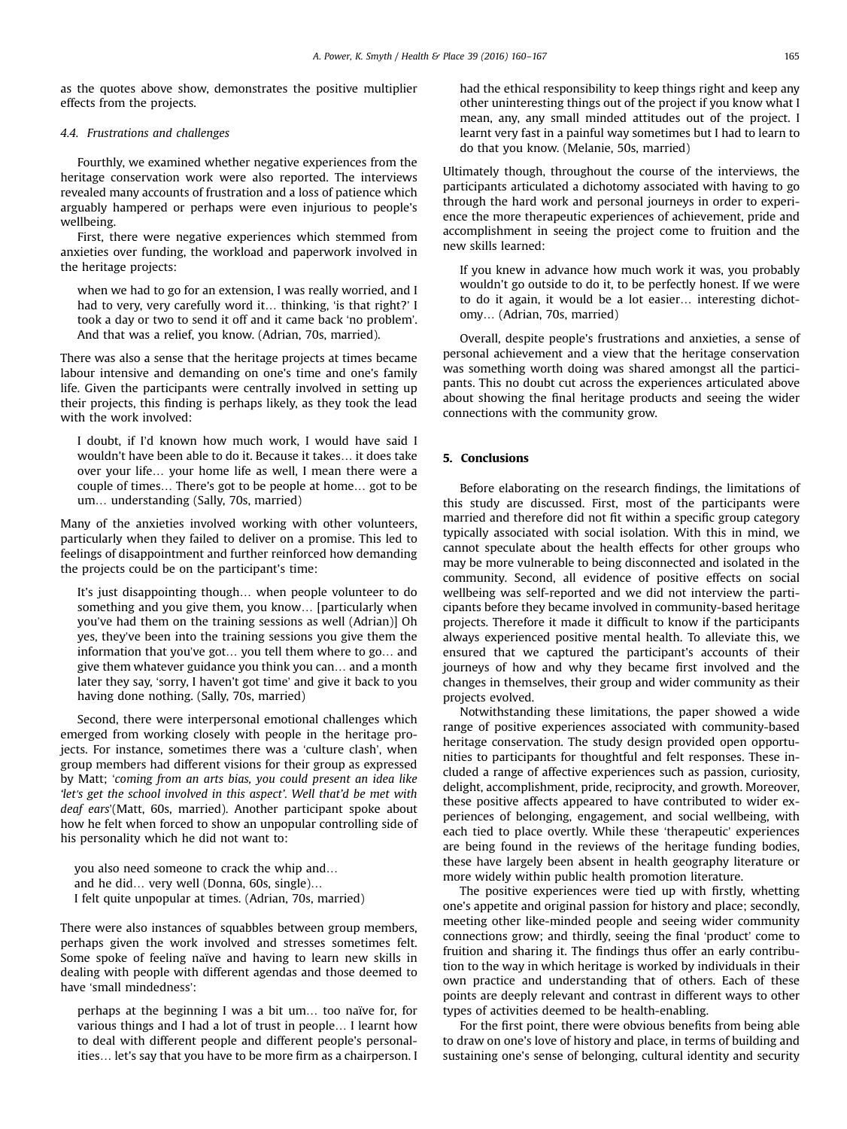as the quotes above show, demonstrates the positive multiplier effects from the projects.

## 4.4. Frustrations and challenges

Fourthly, we examined whether negative experiences from the heritage conservation work were also reported. The interviews revealed many accounts of frustration and a loss of patience which arguably hampered or perhaps were even injurious to people's wellbeing.

First, there were negative experiences which stemmed from anxieties over funding, the workload and paperwork involved in the heritage projects:

when we had to go for an extension, I was really worried, and I had to very, very carefully word it… thinking, 'is that right?' I took a day or two to send it off and it came back 'no problem'. And that was a relief, you know. (Adrian, 70s, married).

There was also a sense that the heritage projects at times became labour intensive and demanding on one's time and one's family life. Given the participants were centrally involved in setting up their projects, this finding is perhaps likely, as they took the lead with the work involved:

I doubt, if I'd known how much work, I would have said I wouldn't have been able to do it. Because it takes… it does take over your life… your home life as well, I mean there were a couple of times… There's got to be people at home… got to be um… understanding (Sally, 70s, married)

Many of the anxieties involved working with other volunteers, particularly when they failed to deliver on a promise. This led to feelings of disappointment and further reinforced how demanding the projects could be on the participant's time:

It's just disappointing though… when people volunteer to do something and you give them, you know… [particularly when you've had them on the training sessions as well (Adrian)] Oh yes, they've been into the training sessions you give them the information that you've got… you tell them where to go… and give them whatever guidance you think you can… and a month later they say, 'sorry, I haven't got time' and give it back to you having done nothing. (Sally, 70s, married)

Second, there were interpersonal emotional challenges which emerged from working closely with people in the heritage projects. For instance, sometimes there was a 'culture clash', when group members had different visions for their group as expressed by Matt; 'coming from an arts bias, you could present an idea like 'let's get the school involved in this aspect'. Well that'd be met with deaf ears'(Matt, 60s, married). Another participant spoke about how he felt when forced to show an unpopular controlling side of his personality which he did not want to:

you also need someone to crack the whip and… and he did… very well (Donna, 60s, single)… I felt quite unpopular at times. (Adrian, 70s, married)

There were also instances of squabbles between group members, perhaps given the work involved and stresses sometimes felt. Some spoke of feeling naïve and having to learn new skills in dealing with people with different agendas and those deemed to have 'small mindedness':

perhaps at the beginning I was a bit um… too naïve for, for various things and I had a lot of trust in people… I learnt how to deal with different people and different people's personalities… let's say that you have to be more firm as a chairperson. I

had the ethical responsibility to keep things right and keep any other uninteresting things out of the project if you know what I mean, any, any small minded attitudes out of the project. I learnt very fast in a painful way sometimes but I had to learn to do that you know. (Melanie, 50s, married)

Ultimately though, throughout the course of the interviews, the participants articulated a dichotomy associated with having to go through the hard work and personal journeys in order to experience the more therapeutic experiences of achievement, pride and accomplishment in seeing the project come to fruition and the new skills learned:

If you knew in advance how much work it was, you probably wouldn't go outside to do it, to be perfectly honest. If we were to do it again, it would be a lot easier… interesting dichotomy… (Adrian, 70s, married)

Overall, despite people's frustrations and anxieties, a sense of personal achievement and a view that the heritage conservation was something worth doing was shared amongst all the participants. This no doubt cut across the experiences articulated above about showing the final heritage products and seeing the wider connections with the community grow.

### 5. Conclusions

Before elaborating on the research findings, the limitations of this study are discussed. First, most of the participants were married and therefore did not fit within a specific group category typically associated with social isolation. With this in mind, we cannot speculate about the health effects for other groups who may be more vulnerable to being disconnected and isolated in the community. Second, all evidence of positive effects on social wellbeing was self-reported and we did not interview the participants before they became involved in community-based heritage projects. Therefore it made it difficult to know if the participants always experienced positive mental health. To alleviate this, we ensured that we captured the participant's accounts of their journeys of how and why they became first involved and the changes in themselves, their group and wider community as their projects evolved.

Notwithstanding these limitations, the paper showed a wide range of positive experiences associated with community-based heritage conservation. The study design provided open opportunities to participants for thoughtful and felt responses. These included a range of affective experiences such as passion, curiosity, delight, accomplishment, pride, reciprocity, and growth. Moreover, these positive affects appeared to have contributed to wider experiences of belonging, engagement, and social wellbeing, with each tied to place overtly. While these 'therapeutic' experiences are being found in the reviews of the heritage funding bodies, these have largely been absent in health geography literature or more widely within public health promotion literature.

The positive experiences were tied up with firstly, whetting one's appetite and original passion for history and place; secondly, meeting other like-minded people and seeing wider community connections grow; and thirdly, seeing the final 'product' come to fruition and sharing it. The findings thus offer an early contribution to the way in which heritage is worked by individuals in their own practice and understanding that of others. Each of these points are deeply relevant and contrast in different ways to other types of activities deemed to be health-enabling.

For the first point, there were obvious benefits from being able to draw on one's love of history and place, in terms of building and sustaining one's sense of belonging, cultural identity and security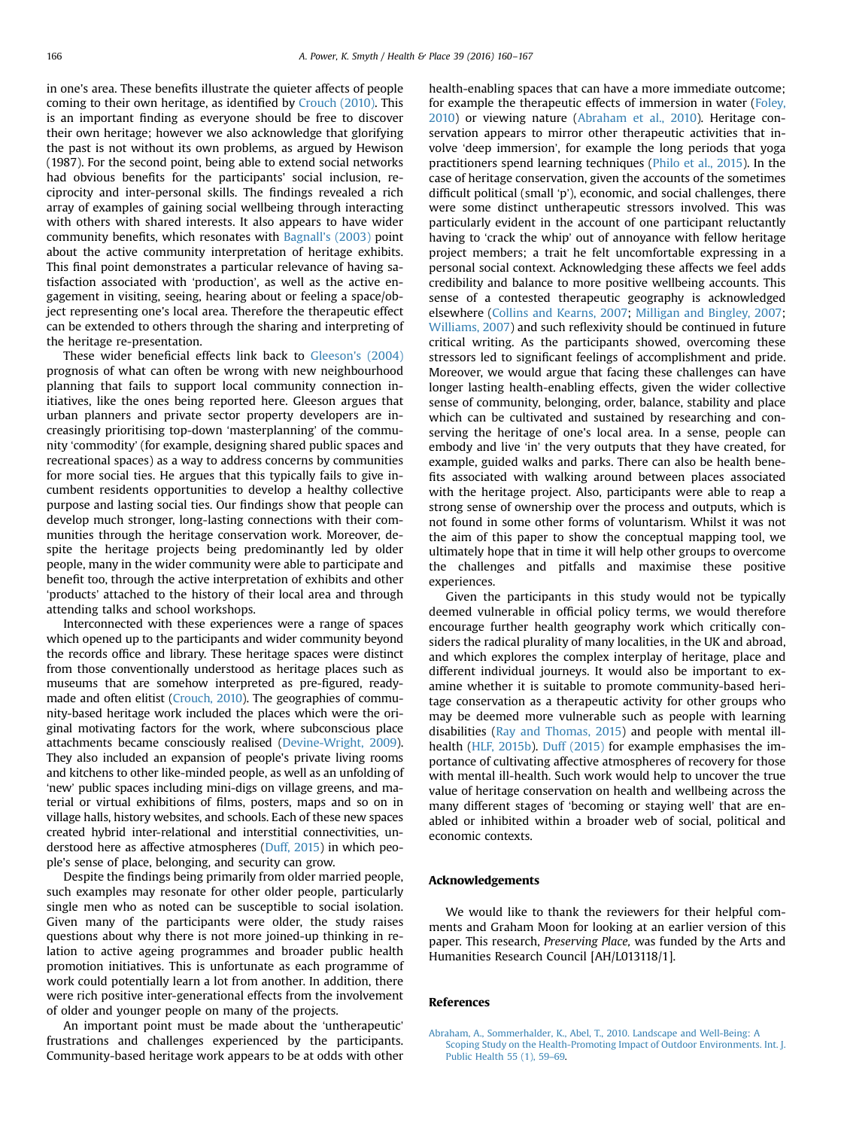in one's area. These benefits illustrate the quieter affects of people coming to their own heritage, as identified by [Crouch \(2010\).](#page-7-0) This is an important finding as everyone should be free to discover their own heritage; however we also acknowledge that glorifying the past is not without its own problems, as argued by Hewison (1987). For the second point, being able to extend social networks had obvious benefits for the participants' social inclusion, reciprocity and inter-personal skills. The findings revealed a rich array of examples of gaining social wellbeing through interacting with others with shared interests. It also appears to have wider community benefits, which resonates with [Bagnall's \(2003\)](#page-7-0) point about the active community interpretation of heritage exhibits. This final point demonstrates a particular relevance of having satisfaction associated with 'production', as well as the active engagement in visiting, seeing, hearing about or feeling a space/object representing one's local area. Therefore the therapeutic effect can be extended to others through the sharing and interpreting of the heritage re-presentation.

These wider beneficial effects link back to [Gleeson's \(2004\)](#page-7-0) prognosis of what can often be wrong with new neighbourhood planning that fails to support local community connection initiatives, like the ones being reported here. Gleeson argues that urban planners and private sector property developers are increasingly prioritising top-down 'masterplanning' of the community 'commodity' (for example, designing shared public spaces and recreational spaces) as a way to address concerns by communities for more social ties. He argues that this typically fails to give incumbent residents opportunities to develop a healthy collective purpose and lasting social ties. Our findings show that people can develop much stronger, long-lasting connections with their communities through the heritage conservation work. Moreover, despite the heritage projects being predominantly led by older people, many in the wider community were able to participate and benefit too, through the active interpretation of exhibits and other 'products' attached to the history of their local area and through attending talks and school workshops.

Interconnected with these experiences were a range of spaces which opened up to the participants and wider community beyond the records office and library. These heritage spaces were distinct from those conventionally understood as heritage places such as museums that are somehow interpreted as pre-figured, readymade and often elitist ([Crouch, 2010](#page-7-0)). The geographies of community-based heritage work included the places which were the original motivating factors for the work, where subconscious place attachments became consciously realised ([Devine-Wright, 2009\)](#page-7-0). They also included an expansion of people's private living rooms and kitchens to other like-minded people, as well as an unfolding of 'new' public spaces including mini-digs on village greens, and material or virtual exhibitions of films, posters, maps and so on in village halls, history websites, and schools. Each of these new spaces created hybrid inter-relational and interstitial connectivities, understood here as affective atmospheres [\(Duff, 2015\)](#page-7-0) in which people's sense of place, belonging, and security can grow.

Despite the findings being primarily from older married people, such examples may resonate for other older people, particularly single men who as noted can be susceptible to social isolation. Given many of the participants were older, the study raises questions about why there is not more joined-up thinking in relation to active ageing programmes and broader public health promotion initiatives. This is unfortunate as each programme of work could potentially learn a lot from another. In addition, there were rich positive inter-generational effects from the involvement of older and younger people on many of the projects.

An important point must be made about the 'untherapeutic' frustrations and challenges experienced by the participants. Community-based heritage work appears to be at odds with other health-enabling spaces that can have a more immediate outcome; for example the therapeutic effects of immersion in water [\(Foley,](#page-7-0) [2010\)](#page-7-0) or viewing nature (Abraham et al., 2010). Heritage conservation appears to mirror other therapeutic activities that involve 'deep immersion', for example the long periods that yoga practitioners spend learning techniques [\(Philo et al., 2015](#page-7-0)). In the case of heritage conservation, given the accounts of the sometimes difficult political (small 'p'), economic, and social challenges, there were some distinct untherapeutic stressors involved. This was particularly evident in the account of one participant reluctantly having to 'crack the whip' out of annoyance with fellow heritage project members; a trait he felt uncomfortable expressing in a personal social context. Acknowledging these affects we feel adds credibility and balance to more positive wellbeing accounts. This sense of a contested therapeutic geography is acknowledged elsewhere [\(Collins and Kearns, 2007](#page-7-0); [Milligan and Bingley, 2007;](#page-7-0) [Williams, 2007\)](#page-7-0) and such reflexivity should be continued in future critical writing. As the participants showed, overcoming these stressors led to significant feelings of accomplishment and pride. Moreover, we would argue that facing these challenges can have longer lasting health-enabling effects, given the wider collective sense of community, belonging, order, balance, stability and place which can be cultivated and sustained by researching and conserving the heritage of one's local area. In a sense, people can embody and live 'in' the very outputs that they have created, for example, guided walks and parks. There can also be health benefits associated with walking around between places associated with the heritage project. Also, participants were able to reap a strong sense of ownership over the process and outputs, which is not found in some other forms of voluntarism. Whilst it was not the aim of this paper to show the conceptual mapping tool, we ultimately hope that in time it will help other groups to overcome the challenges and pitfalls and maximise these positive experiences.

Given the participants in this study would not be typically deemed vulnerable in official policy terms, we would therefore encourage further health geography work which critically considers the radical plurality of many localities, in the UK and abroad, and which explores the complex interplay of heritage, place and different individual journeys. It would also be important to examine whether it is suitable to promote community-based heritage conservation as a therapeutic activity for other groups who may be deemed more vulnerable such as people with learning disabilities ([Ray and Thomas, 2015](#page-7-0)) and people with mental illhealth ([HLF, 2015b\)](#page-7-0). [Duff \(2015\)](#page-7-0) for example emphasises the importance of cultivating affective atmospheres of recovery for those with mental ill-health. Such work would help to uncover the true value of heritage conservation on health and wellbeing across the many different stages of 'becoming or staying well' that are enabled or inhibited within a broader web of social, political and economic contexts.

#### Acknowledgements

We would like to thank the reviewers for their helpful comments and Graham Moon for looking at an earlier version of this paper. This research, Preserving Place, was funded by the Arts and Humanities Research Council [AH/L013118/1].

#### References

[Abraham, A., Sommerhalder, K., Abel, T., 2010. Landscape and Well-Being: A](http://refhub.elsevier.com/S1353-8292(16)30023-5/sbref457182) [Scoping Study on the Health-Promoting Impact of Outdoor Environments. Int. J.](http://refhub.elsevier.com/S1353-8292(16)30023-5/sbref457182) [Public Health 55 \(1\), 59](http://refhub.elsevier.com/S1353-8292(16)30023-5/sbref457182)–69.